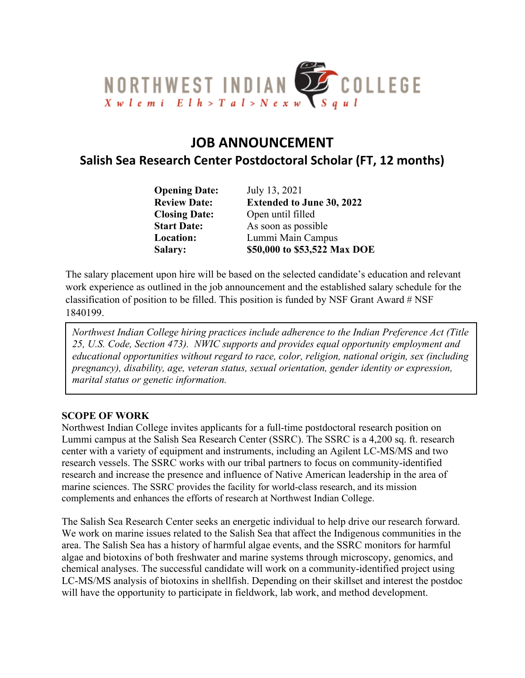

# **JOB ANNOUNCEMENT**

# **Salish Sea Research Center Postdoctoral Scholar (FT, 12 months)**

| <b>Opening Date:</b> | July 13, 2021                    |
|----------------------|----------------------------------|
| <b>Review Date:</b>  | <b>Extended to June 30, 2022</b> |
| <b>Closing Date:</b> | Open until filled                |
| <b>Start Date:</b>   | As soon as possible              |
| Location:            | Lummi Main Campus                |
| Salary:              | \$50,000 to \$53,522 Max DOE     |

The salary placement upon hire will be based on the selected candidate's education and relevant work experience as outlined in the job announcement and the established salary schedule for the classification of position to be filled. This position is funded by NSF Grant Award # NSF 1840199.

*Northwest Indian College hiring practices include adherence to the Indian Preference Act (Title 25, U.S. Code, Section 473). NWIC supports and provides equal opportunity employment and educational opportunities without regard to race, color, religion, national origin, sex (including pregnancy), disability, age, veteran status, sexual orientation, gender identity or expression, marital status or genetic information.*

#### **SCOPE OF WORK**

Northwest Indian College invites applicants for a full-time postdoctoral research position on Lummi campus at the Salish Sea Research Center (SSRC). The SSRC is a 4,200 sq. ft. research center with a variety of equipment and instruments, including an Agilent LC-MS/MS and two research vessels. The SSRC works with our tribal partners to focus on community-identified research and increase the presence and influence of Native American leadership in the area of marine sciences. The SSRC provides the facility for world-class research, and its mission complements and enhances the efforts of research at Northwest Indian College.

The Salish Sea Research Center seeks an energetic individual to help drive our research forward. We work on marine issues related to the Salish Sea that affect the Indigenous communities in the area. The Salish Sea has a history of harmful algae events, and the SSRC monitors for harmful algae and biotoxins of both freshwater and marine systems through microscopy, genomics, and chemical analyses. The successful candidate will work on a community-identified project using LC-MS/MS analysis of biotoxins in shellfish. Depending on their skillset and interest the postdoc will have the opportunity to participate in fieldwork, lab work, and method development.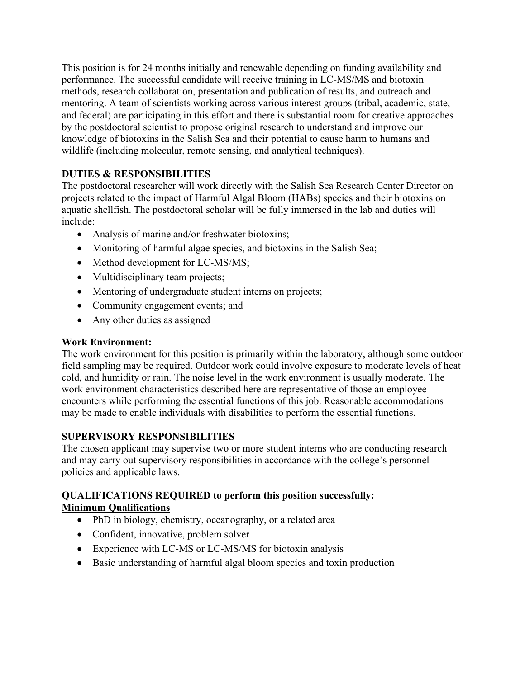This position is for 24 months initially and renewable depending on funding availability and performance. The successful candidate will receive training in LC-MS/MS and biotoxin methods, research collaboration, presentation and publication of results, and outreach and mentoring. A team of scientists working across various interest groups (tribal, academic, state, and federal) are participating in this effort and there is substantial room for creative approaches by the postdoctoral scientist to propose original research to understand and improve our knowledge of biotoxins in the Salish Sea and their potential to cause harm to humans and wildlife (including molecular, remote sensing, and analytical techniques).

## **DUTIES & RESPONSIBILITIES**

The postdoctoral researcher will work directly with the Salish Sea Research Center Director on projects related to the impact of Harmful Algal Bloom (HABs) species and their biotoxins on aquatic shellfish. The postdoctoral scholar will be fully immersed in the lab and duties will include:

- Analysis of marine and/or freshwater biotoxins;
- Monitoring of harmful algae species, and biotoxins in the Salish Sea;
- Method development for LC-MS/MS;
- Multidisciplinary team projects;
- Mentoring of undergraduate student interns on projects;
- Community engagement events; and
- Any other duties as assigned

#### **Work Environment:**

The work environment for this position is primarily within the laboratory, although some outdoor field sampling may be required. Outdoor work could involve exposure to moderate levels of heat cold, and humidity or rain. The noise level in the work environment is usually moderate. The work environment characteristics described here are representative of those an employee encounters while performing the essential functions of this job. Reasonable accommodations may be made to enable individuals with disabilities to perform the essential functions.

### **SUPERVISORY RESPONSIBILITIES**

The chosen applicant may supervise two or more student interns who are conducting research and may carry out supervisory responsibilities in accordance with the college's personnel policies and applicable laws.

#### **QUALIFICATIONS REQUIRED to perform this position successfully: Minimum Qualifications**

- PhD in biology, chemistry, oceanography, or a related area
- Confident, innovative, problem solver
- Experience with LC-MS or LC-MS/MS for biotoxin analysis
- Basic understanding of harmful algal bloom species and toxin production